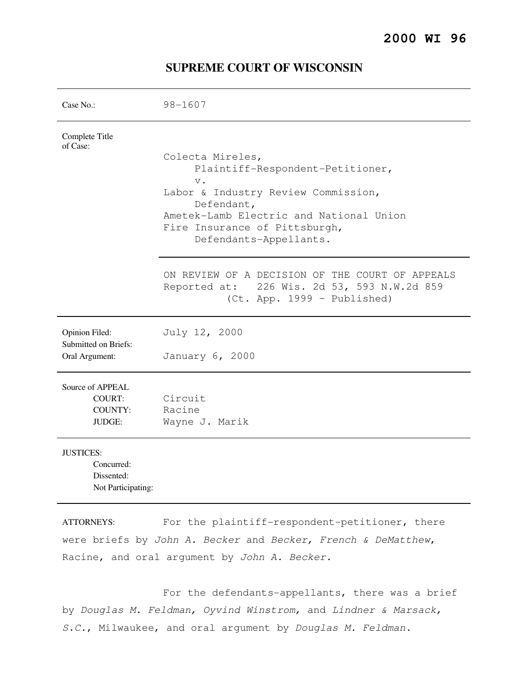## **2000 WI 96**

| Case No.:                              | $98 - 1607$                                                                                  |
|----------------------------------------|----------------------------------------------------------------------------------------------|
| Complete Title<br>of Case:             |                                                                                              |
|                                        | Colecta Mireles,                                                                             |
|                                        | Plaintiff-Respondent-Petitioner,<br>$V$ .                                                    |
|                                        | Labor & Industry Review Commission,                                                          |
|                                        | Defendant,<br>Ametek-Lamb Electric and National Union                                        |
|                                        | Fire Insurance of Pittsburgh,                                                                |
|                                        | Defendants-Appellants.                                                                       |
|                                        | ON REVIEW OF A DECISION OF THE COURT OF APPEALS                                              |
|                                        | Reported at: 226 Wis. 2d 53, 593 N.W.2d 859<br>(Ct. App. 1999 - Published)                   |
| Opinion Filed:                         | July 12, 2000                                                                                |
| Submitted on Briefs:<br>Oral Argument: | January 6, 2000                                                                              |
|                                        |                                                                                              |
| Source of APPEAL                       |                                                                                              |
| <b>COURT:</b>                          | Circuit                                                                                      |
| COUNTY:<br><b>JUDGE:</b>               | Racine<br>Wayne J. Marik                                                                     |
|                                        |                                                                                              |
| <b>JUSTICES:</b>                       |                                                                                              |
| Concurred:                             |                                                                                              |
| Dissented:<br>Not Participating:       |                                                                                              |
| <b>TTOD UTVO</b>                       | $\Box$ and the indicate $LE$ measurable in the second state $\Box$<br>$\perp$ $\perp$ $\sim$ |

# **SUPREME COURT OF WISCONSIN**

ATTORNEYS: For the plaintiff-respondent-petitioner, there were briefs by John A. Becker and Becker, French & DeMatthew, Racine, and oral argument by John A. Becker.

 For the defendants-appellants, there was a brief by Douglas M. Feldman, Oyvind Winstrom, and Lindner & Marsack, S.C., Milwaukee, and oral argument by Douglas M. Feldman.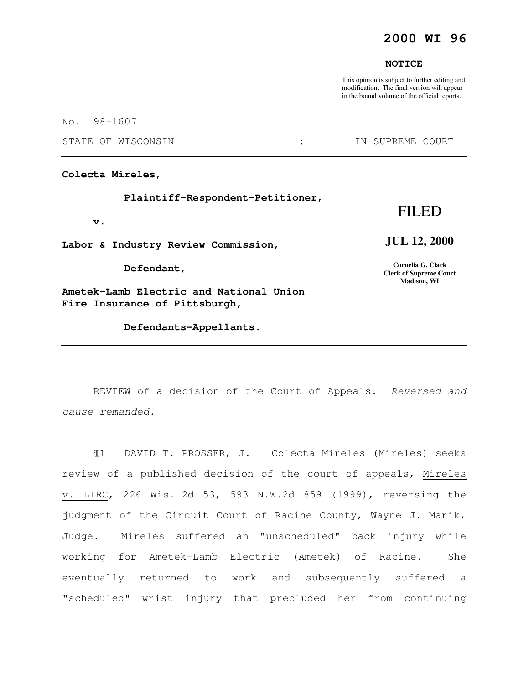# **2000 WI 96**

#### **NOTICE**

This opinion is subject to further editing and modification. The final version will appear in the bound volume of the official reports.

No. 98-1607

STATE OF WISCONSIN THE STATE OF WISCONSIN THE STATE OF STATE OF STATE OF STATE OF STATE OF STATE OF STATE OF STATE OF STATE OF STATE OF STATE OF STATE OF STATE OF STATE OF STATE OF STATE OF STATE OF STATE OF STATE OF STATE

**Colecta Mireles,** 

 **Plaintiff-Respondent-Petitioner,** 

 **v.** 

**Labor & Industry Review Commission,** 

 **Defendant,** 

**Ametek-Lamb Electric and National Union Fire Insurance of Pittsburgh,** 

 **Defendants-Appellants.** 

# FILED

#### **JUL 12, 2000**

**Cornelia G. Clark Clerk of Supreme Court Madison, WI** 

REVIEW of a decision of the Court of Appeals. Reversed and cause remanded.

¶1 DAVID T. PROSSER, J. Colecta Mireles (Mireles) seeks review of a published decision of the court of appeals, Mireles v. LIRC, 226 Wis. 2d 53, 593 N.W.2d 859 (1999), reversing the judgment of the Circuit Court of Racine County, Wayne J. Marik, Judge. Mireles suffered an "unscheduled" back injury while working for Ametek-Lamb Electric (Ametek) of Racine. She eventually returned to work and subsequently suffered a "scheduled" wrist injury that precluded her from continuing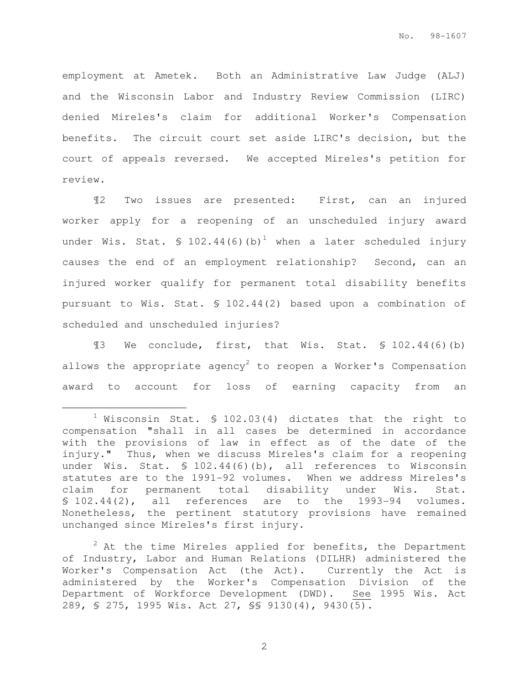employment at Ametek. Both an Administrative Law Judge (ALJ) and the Wisconsin Labor and Industry Review Commission (LIRC) denied Mireles's claim for additional Worker's Compensation benefits. The circuit court set aside LIRC's decision, but the court of appeals reversed. We accepted Mireles's petition for review.

¶2 Two issues are presented: First, can an injured worker apply for a reopening of an unscheduled injury award under Wis. Stat.  $$ 102.44(6)(b)^1$  when a later scheduled injury causes the end of an employment relationship? Second, can an injured worker qualify for permanent total disability benefits pursuant to Wis. Stat. § 102.44(2) based upon a combination of scheduled and unscheduled injuries?

¶3 We conclude, first, that Wis. Stat. § 102.44(6)(b) allows the appropriate agency<sup>2</sup> to reopen a Worker's Compensation award to account for loss of earning capacity from an

e<br>S

 $2$  At the time Mireles applied for benefits, the Department of Industry, Labor and Human Relations (DILHR) administered the Worker's Compensation Act (the Act). Currently the Act is administered by the Worker's Compensation Division of the Department of Workforce Development (DWD). See 1995 Wis. Act 289, § 275, 1995 Wis. Act 27, §§ 9130(4), 9430(5).

 $1$  Wisconsin Stat. § 102.03(4) dictates that the right to compensation "shall in all cases be determined in accordance with the provisions of law in effect as of the date of the injury." Thus, when we discuss Mireles's claim for a reopening under Wis. Stat. § 102.44(6)(b), all references to Wisconsin statutes are to the 1991-92 volumes. When we address Mireles's claim for permanent total disability under Wis. Stat. § 102.44(2), all references are to the 1993-94 volumes. Nonetheless, the pertinent statutory provisions have remained unchanged since Mireles's first injury.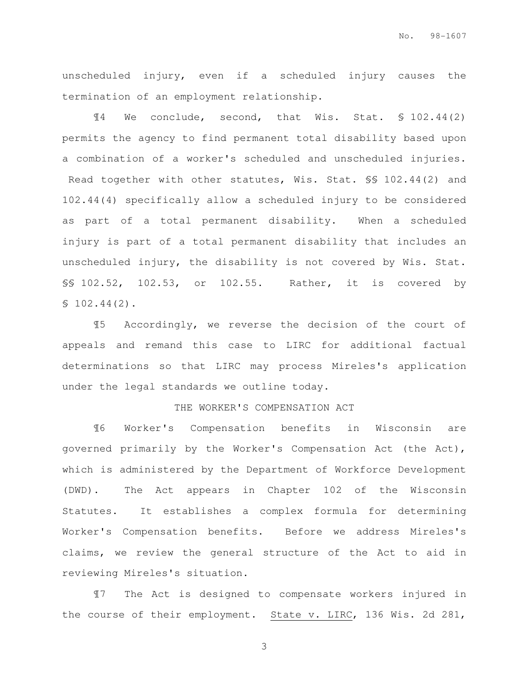unscheduled injury, even if a scheduled injury causes the termination of an employment relationship.

¶4 We conclude, second, that Wis. Stat. § 102.44(2) permits the agency to find permanent total disability based upon a combination of a worker's scheduled and unscheduled injuries. Read together with other statutes, Wis. Stat. §§ 102.44(2) and 102.44(4) specifically allow a scheduled injury to be considered as part of a total permanent disability. When a scheduled injury is part of a total permanent disability that includes an unscheduled injury, the disability is not covered by Wis. Stat. §§ 102.52, 102.53, or 102.55. Rather, it is covered by  $$102.44(2).$ 

¶5 Accordingly, we reverse the decision of the court of appeals and remand this case to LIRC for additional factual determinations so that LIRC may process Mireles's application under the legal standards we outline today.

#### THE WORKER'S COMPENSATION ACT

¶6 Worker's Compensation benefits in Wisconsin are governed primarily by the Worker's Compensation Act (the Act), which is administered by the Department of Workforce Development (DWD). The Act appears in Chapter 102 of the Wisconsin Statutes. It establishes a complex formula for determining Worker's Compensation benefits. Before we address Mireles's claims, we review the general structure of the Act to aid in reviewing Mireles's situation.

¶7 The Act is designed to compensate workers injured in the course of their employment. State v. LIRC, 136 Wis. 2d 281,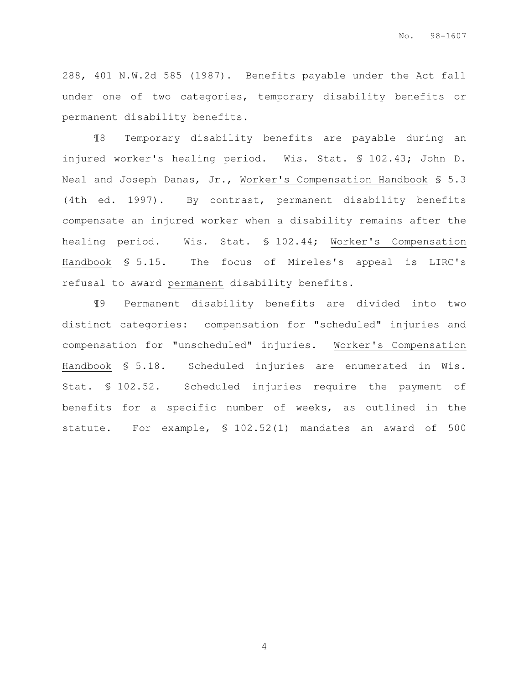288, 401 N.W.2d 585 (1987). Benefits payable under the Act fall under one of two categories, temporary disability benefits or permanent disability benefits.

¶8 Temporary disability benefits are payable during an injured worker's healing period. Wis. Stat. § 102.43; John D. Neal and Joseph Danas, Jr., Worker's Compensation Handbook § 5.3 (4th ed. 1997). By contrast, permanent disability benefits compensate an injured worker when a disability remains after the healing period. Wis. Stat. § 102.44; Worker's Compensation Handbook § 5.15. The focus of Mireles's appeal is LIRC's refusal to award permanent disability benefits.

¶9 Permanent disability benefits are divided into two distinct categories: compensation for "scheduled" injuries and compensation for "unscheduled" injuries. Worker's Compensation Handbook § 5.18. Scheduled injuries are enumerated in Wis. Stat. § 102.52. Scheduled injuries require the payment of benefits for a specific number of weeks, as outlined in the statute. For example, § 102.52(1) mandates an award of 500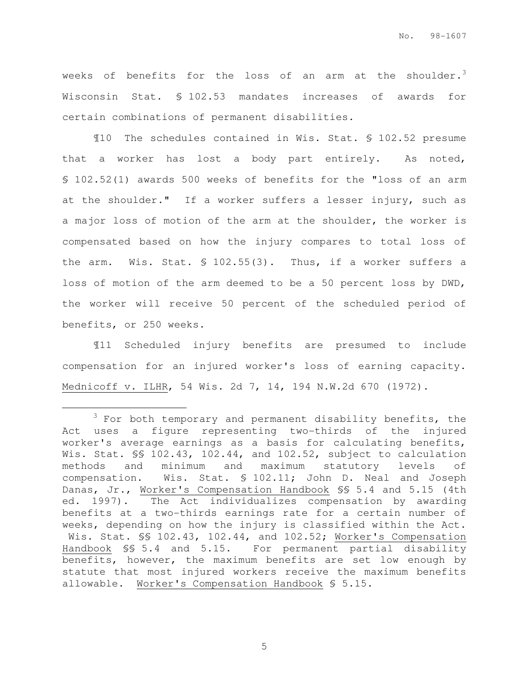weeks of benefits for the loss of an arm at the shoulder.<sup>3</sup> Wisconsin Stat. § 102.53 mandates increases of awards for certain combinations of permanent disabilities.

¶10 The schedules contained in Wis. Stat. § 102.52 presume that a worker has lost a body part entirely. As noted, § 102.52(1) awards 500 weeks of benefits for the "loss of an arm at the shoulder." If a worker suffers a lesser injury, such as a major loss of motion of the arm at the shoulder, the worker is compensated based on how the injury compares to total loss of the arm. Wis. Stat. § 102.55(3). Thus, if a worker suffers a loss of motion of the arm deemed to be a 50 percent loss by DWD, the worker will receive 50 percent of the scheduled period of benefits, or 250 weeks.

¶11 Scheduled injury benefits are presumed to include compensation for an injured worker's loss of earning capacity. Mednicoff v. ILHR, 54 Wis. 2d 7, 14, 194 N.W.2d 670 (1972).

e<br>S

 $3$  For both temporary and permanent disability benefits, the Act uses a figure representing two-thirds of the injured worker's average earnings as a basis for calculating benefits, Wis. Stat. SS 102.43, 102.44, and 102.52, subject to calculation methods and minimum and maximum statutory levels of compensation. Wis. Stat. § 102.11; John D. Neal and Joseph Danas, Jr., Worker's Compensation Handbook §§ 5.4 and 5.15 (4th ed. 1997). The Act individualizes compensation by awarding benefits at a two-thirds earnings rate for a certain number of weeks, depending on how the injury is classified within the Act. Wis. Stat. §§ 102.43, 102.44, and 102.52; Worker's Compensation Handbook §§ 5.4 and 5.15. For permanent partial disability benefits, however, the maximum benefits are set low enough by statute that most injured workers receive the maximum benefits allowable. Worker's Compensation Handbook § 5.15.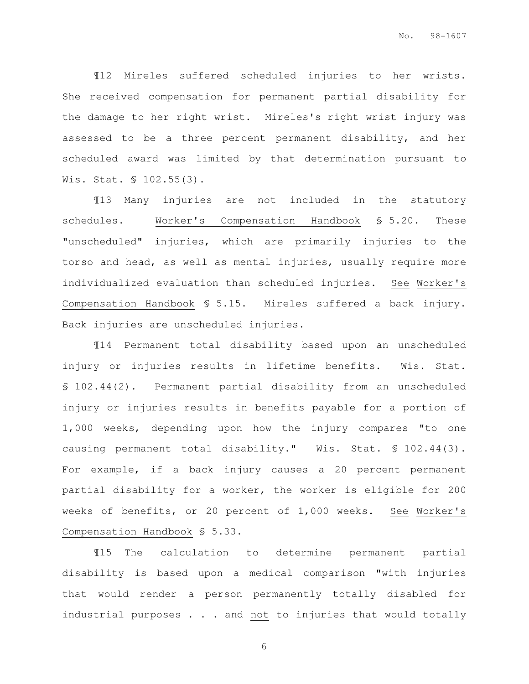¶12 Mireles suffered scheduled injuries to her wrists. She received compensation for permanent partial disability for the damage to her right wrist. Mireles's right wrist injury was assessed to be a three percent permanent disability, and her scheduled award was limited by that determination pursuant to Wis. Stat. § 102.55(3).

¶13 Many injuries are not included in the statutory schedules. Worker's Compensation Handbook § 5.20. These "unscheduled" injuries, which are primarily injuries to the torso and head, as well as mental injuries, usually require more individualized evaluation than scheduled injuries. See Worker's Compensation Handbook § 5.15. Mireles suffered a back injury. Back injuries are unscheduled injuries.

¶14 Permanent total disability based upon an unscheduled injury or injuries results in lifetime benefits. Wis. Stat. § 102.44(2). Permanent partial disability from an unscheduled injury or injuries results in benefits payable for a portion of 1,000 weeks, depending upon how the injury compares "to one causing permanent total disability." Wis. Stat. § 102.44(3). For example, if a back injury causes a 20 percent permanent partial disability for a worker, the worker is eligible for 200 weeks of benefits, or 20 percent of 1,000 weeks. See Worker's Compensation Handbook § 5.33.

¶15 The calculation to determine permanent partial disability is based upon a medical comparison "with injuries that would render a person permanently totally disabled for industrial purposes . . . and not to injuries that would totally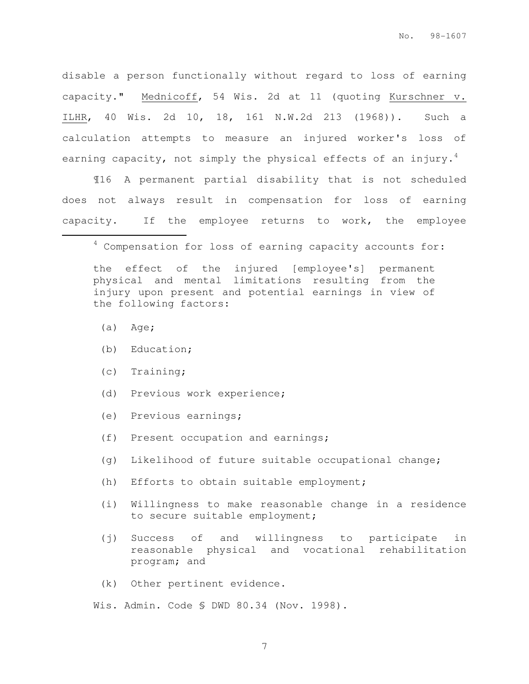disable a person functionally without regard to loss of earning capacity." Mednicoff, 54 Wis. 2d at 11 (quoting Kurschner v. ILHR, 40 Wis. 2d 10, 18, 161 N.W.2d 213 (1968)). Such a calculation attempts to measure an injured worker's loss of earning capacity, not simply the physical effects of an injury.<sup>4</sup>

¶16 A permanent partial disability that is not scheduled does not always result in compensation for loss of earning capacity. If the employee returns to work, the employee

 $4$  Compensation for loss of earning capacity accounts for:

the effect of the injured [employee's] permanent physical and mental limitations resulting from the injury upon present and potential earnings in view of the following factors:

(a) Age;

e<br>S

- (b) Education;
- (c) Training;
- (d) Previous work experience;
- (e) Previous earnings;
- (f) Present occupation and earnings;
- (g) Likelihood of future suitable occupational change;
- (h) Efforts to obtain suitable employment;
- (i) Willingness to make reasonable change in a residence to secure suitable employment;
- (j) Success of and willingness to participate in reasonable physical and vocational rehabilitation program; and
- (k) Other pertinent evidence.

Wis. Admin. Code § DWD 80.34 (Nov. 1998).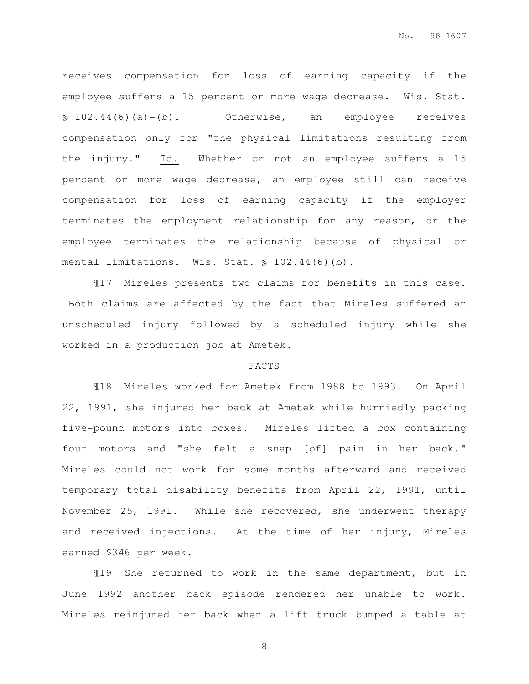receives compensation for loss of earning capacity if the employee suffers a 15 percent or more wage decrease. Wis. Stat. § 102.44(6)(a)-(b). Otherwise, an employee receives compensation only for "the physical limitations resulting from the injury." Id. Whether or not an employee suffers a 15 percent or more wage decrease, an employee still can receive compensation for loss of earning capacity if the employer terminates the employment relationship for any reason, or the employee terminates the relationship because of physical or mental limitations. Wis. Stat. § 102.44(6)(b).

¶17 Mireles presents two claims for benefits in this case. Both claims are affected by the fact that Mireles suffered an unscheduled injury followed by a scheduled injury while she worked in a production job at Ametek.

#### FACTS

¶18 Mireles worked for Ametek from 1988 to 1993. On April 22, 1991, she injured her back at Ametek while hurriedly packing five-pound motors into boxes. Mireles lifted a box containing four motors and "she felt a snap [of] pain in her back." Mireles could not work for some months afterward and received temporary total disability benefits from April 22, 1991, until November 25, 1991. While she recovered, she underwent therapy and received injections. At the time of her injury, Mireles earned \$346 per week.

¶19 She returned to work in the same department, but in June 1992 another back episode rendered her unable to work. Mireles reinjured her back when a lift truck bumped a table at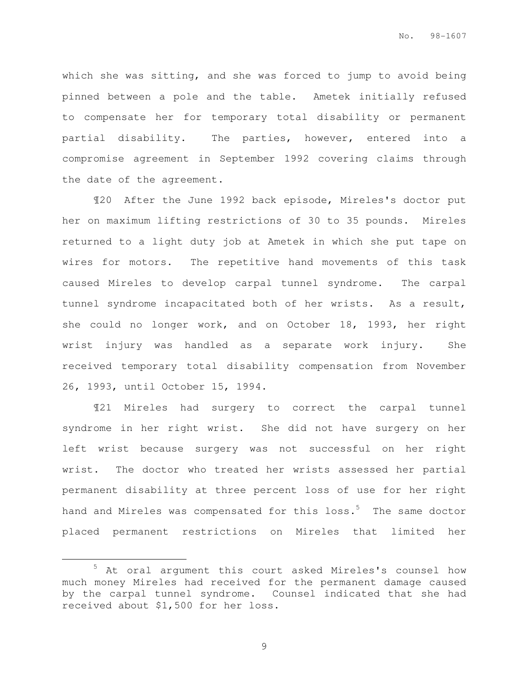which she was sitting, and she was forced to jump to avoid being pinned between a pole and the table. Ametek initially refused to compensate her for temporary total disability or permanent partial disability. The parties, however, entered into a compromise agreement in September 1992 covering claims through the date of the agreement.

¶20 After the June 1992 back episode, Mireles's doctor put her on maximum lifting restrictions of 30 to 35 pounds. Mireles returned to a light duty job at Ametek in which she put tape on wires for motors. The repetitive hand movements of this task caused Mireles to develop carpal tunnel syndrome. The carpal tunnel syndrome incapacitated both of her wrists. As a result, she could no longer work, and on October 18, 1993, her right wrist injury was handled as a separate work injury. She received temporary total disability compensation from November 26, 1993, until October 15, 1994.

¶21 Mireles had surgery to correct the carpal tunnel syndrome in her right wrist. She did not have surgery on her left wrist because surgery was not successful on her right wrist. The doctor who treated her wrists assessed her partial permanent disability at three percent loss of use for her right hand and Mireles was compensated for this loss.<sup>5</sup> The same doctor placed permanent restrictions on Mireles that limited her

e<br>S

<sup>5</sup> At oral argument this court asked Mireles's counsel how much money Mireles had received for the permanent damage caused by the carpal tunnel syndrome. Counsel indicated that she had received about \$1,500 for her loss.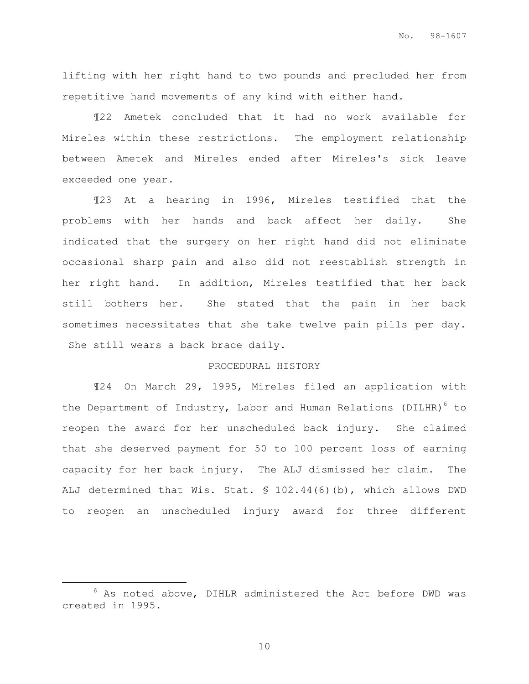lifting with her right hand to two pounds and precluded her from repetitive hand movements of any kind with either hand.

¶22 Ametek concluded that it had no work available for Mireles within these restrictions. The employment relationship between Ametek and Mireles ended after Mireles's sick leave exceeded one year.

¶23 At a hearing in 1996, Mireles testified that the problems with her hands and back affect her daily. She indicated that the surgery on her right hand did not eliminate occasional sharp pain and also did not reestablish strength in her right hand. In addition, Mireles testified that her back still bothers her. She stated that the pain in her back sometimes necessitates that she take twelve pain pills per day. She still wears a back brace daily.

#### PROCEDURAL HISTORY

¶24 On March 29, 1995, Mireles filed an application with the Department of Industry, Labor and Human Relations (DILHR) $^6$  to reopen the award for her unscheduled back injury. She claimed that she deserved payment for 50 to 100 percent loss of earning capacity for her back injury. The ALJ dismissed her claim. The ALJ determined that Wis. Stat. § 102.44(6)(b), which allows DWD to reopen an unscheduled injury award for three different

e<br>S

 $6$  As noted above, DIHLR administered the Act before DWD was created in 1995.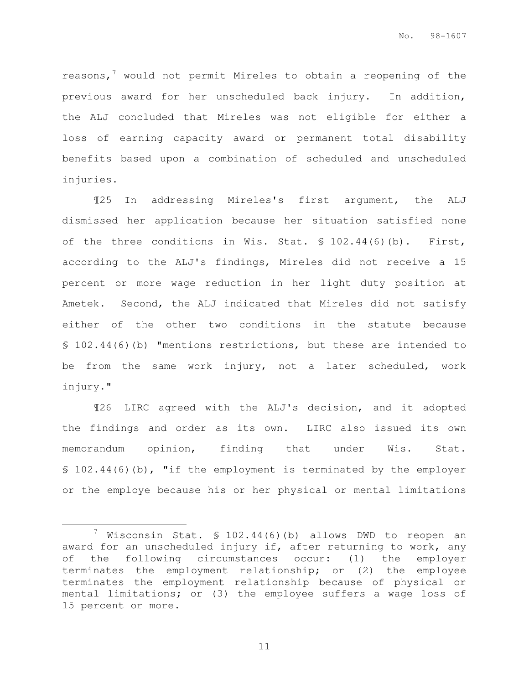reasons, $\frac{7}{1}$  would not permit Mireles to obtain a reopening of the previous award for her unscheduled back injury. In addition, the ALJ concluded that Mireles was not eligible for either a loss of earning capacity award or permanent total disability benefits based upon a combination of scheduled and unscheduled injuries.

¶25 In addressing Mireles's first argument, the ALJ dismissed her application because her situation satisfied none of the three conditions in Wis. Stat. § 102.44(6)(b). First, according to the ALJ's findings, Mireles did not receive a 15 percent or more wage reduction in her light duty position at Ametek. Second, the ALJ indicated that Mireles did not satisfy either of the other two conditions in the statute because § 102.44(6)(b) "mentions restrictions, but these are intended to be from the same work injury, not a later scheduled, work injury."

¶26 LIRC agreed with the ALJ's decision, and it adopted the findings and order as its own. LIRC also issued its own memorandum opinion, finding that under Wis. Stat. § 102.44(6)(b), "if the employment is terminated by the employer or the employe because his or her physical or mental limitations

e<br>S

 $\frac{7}{1}$  Wisconsin Stat. § 102.44(6)(b) allows DWD to reopen an award for an unscheduled injury if, after returning to work, any of the following circumstances occur: (1) the employer terminates the employment relationship; or (2) the employee terminates the employment relationship because of physical or mental limitations; or (3) the employee suffers a wage loss of 15 percent or more.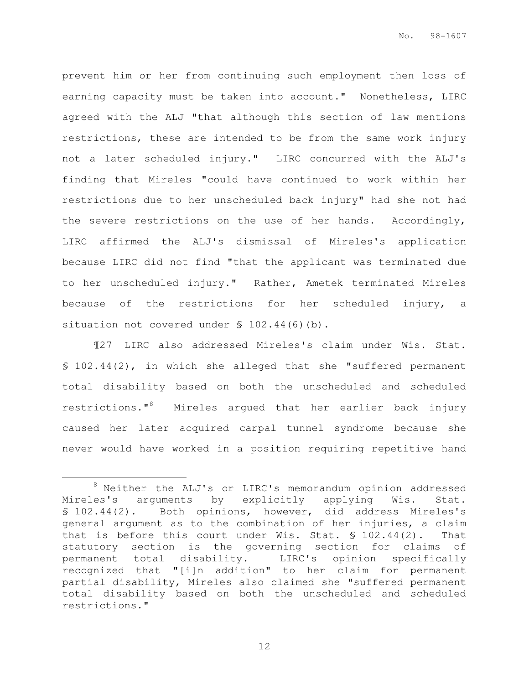prevent him or her from continuing such employment then loss of earning capacity must be taken into account." Nonetheless, LIRC agreed with the ALJ "that although this section of law mentions restrictions, these are intended to be from the same work injury not a later scheduled injury." LIRC concurred with the ALJ's finding that Mireles "could have continued to work within her restrictions due to her unscheduled back injury" had she not had the severe restrictions on the use of her hands. Accordingly, LIRC affirmed the ALJ's dismissal of Mireles's application because LIRC did not find "that the applicant was terminated due to her unscheduled injury." Rather, Ametek terminated Mireles because of the restrictions for her scheduled injury, a situation not covered under § 102.44(6)(b).

¶27 LIRC also addressed Mireles's claim under Wis. Stat. § 102.44(2), in which she alleged that she "suffered permanent total disability based on both the unscheduled and scheduled restrictions."<sup>8</sup> Mireles argued that her earlier back injury caused her later acquired carpal tunnel syndrome because she never would have worked in a position requiring repetitive hand

e<br>S

<sup>8</sup> Neither the ALJ's or LIRC's memorandum opinion addressed Mireles's arguments by explicitly applying Wis. Stat. § 102.44(2). Both opinions, however, did address Mireles's general argument as to the combination of her injuries, a claim that is before this court under Wis. Stat.  $$102.44(2)$ . That statutory section is the governing section for claims of permanent total disability. LIRC's opinion specifically recognized that "[i]n addition" to her claim for permanent partial disability, Mireles also claimed she "suffered permanent total disability based on both the unscheduled and scheduled restrictions."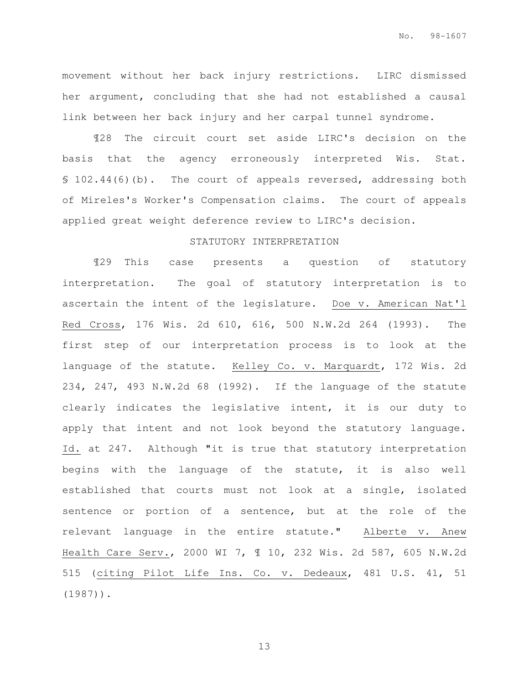movement without her back injury restrictions. LIRC dismissed her argument, concluding that she had not established a causal link between her back injury and her carpal tunnel syndrome.

¶28 The circuit court set aside LIRC's decision on the basis that the agency erroneously interpreted Wis. Stat. § 102.44(6)(b). The court of appeals reversed, addressing both of Mireles's Worker's Compensation claims. The court of appeals applied great weight deference review to LIRC's decision.

#### STATUTORY INTERPRETATION

¶29 This case presents a question of statutory interpretation. The goal of statutory interpretation is to ascertain the intent of the legislature. Doe v. American Nat'l Red Cross, 176 Wis. 2d 610, 616, 500 N.W.2d 264 (1993). The first step of our interpretation process is to look at the language of the statute. Kelley Co. v. Marquardt, 172 Wis. 2d 234, 247, 493 N.W.2d 68 (1992). If the language of the statute clearly indicates the legislative intent, it is our duty to apply that intent and not look beyond the statutory language. Id. at 247. Although "it is true that statutory interpretation begins with the language of the statute, it is also well established that courts must not look at a single, isolated sentence or portion of a sentence, but at the role of the relevant language in the entire statute." Alberte v. Anew Health Care Serv., 2000 WI 7, ¶ 10, 232 Wis. 2d 587, 605 N.W.2d 515 (citing Pilot Life Ins. Co. v. Dedeaux, 481 U.S. 41, 51 (1987)).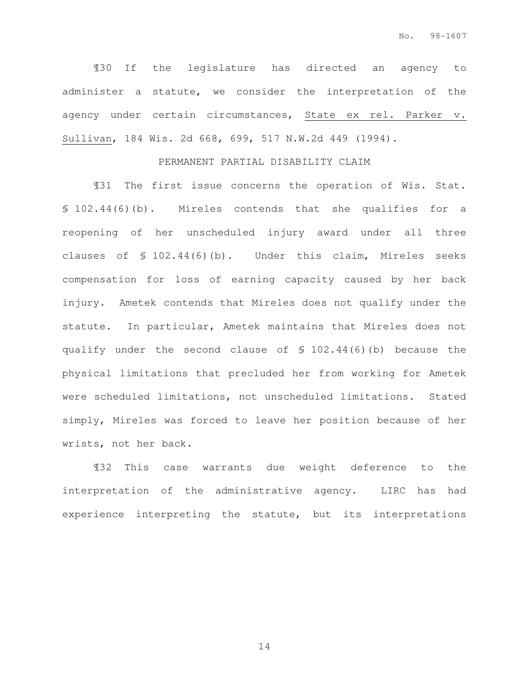¶30 If the legislature has directed an agency to administer a statute, we consider the interpretation of the agency under certain circumstances, State ex rel. Parker v. Sullivan, 184 Wis. 2d 668, 699, 517 N.W.2d 449 (1994).

### PERMANENT PARTIAL DISABILITY CLAIM

¶31 The first issue concerns the operation of Wis. Stat. § 102.44(6)(b). Mireles contends that she qualifies for a reopening of her unscheduled injury award under all three clauses of § 102.44(6)(b). Under this claim, Mireles seeks compensation for loss of earning capacity caused by her back injury. Ametek contends that Mireles does not qualify under the statute. In particular, Ametek maintains that Mireles does not qualify under the second clause of § 102.44(6)(b) because the physical limitations that precluded her from working for Ametek were scheduled limitations, not unscheduled limitations. Stated simply, Mireles was forced to leave her position because of her wrists, not her back.

¶32 This case warrants due weight deference to the interpretation of the administrative agency. LIRC has had experience interpreting the statute, but its interpretations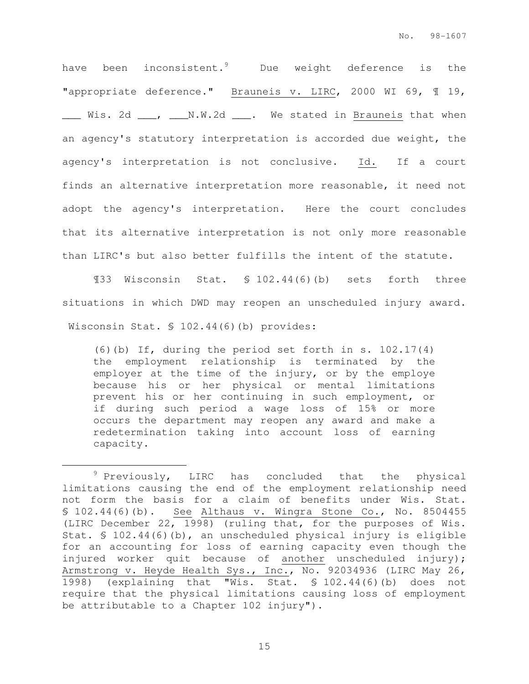have been inconsistent.<sup>9</sup> Due weight deference is the "appropriate deference." Brauneis v. LIRC, 2000 WI 69, ¶ 19, \_\_\_ Wis. 2d \_\_\_, \_\_\_N.W.2d \_\_\_. We stated in Brauneis that when an agency's statutory interpretation is accorded due weight, the agency's interpretation is not conclusive. Id. If a court finds an alternative interpretation more reasonable, it need not adopt the agency's interpretation. Here the court concludes that its alternative interpretation is not only more reasonable than LIRC's but also better fulfills the intent of the statute.

¶33 Wisconsin Stat. § 102.44(6)(b) sets forth three situations in which DWD may reopen an unscheduled injury award. Wisconsin Stat. § 102.44(6)(b) provides:

(6)(b) If, during the period set forth in s.  $102.17(4)$ the employment relationship is terminated by the employer at the time of the injury, or by the employe because his or her physical or mental limitations prevent his or her continuing in such employment, or if during such period a wage loss of 15% or more occurs the department may reopen any award and make a redetermination taking into account loss of earning capacity.

e<br>S

 $9$  Previously, LIRC has concluded that the physical limitations causing the end of the employment relationship need not form the basis for a claim of benefits under Wis. Stat. § 102.44(6)(b). See Althaus v. Wingra Stone Co., No. 8504455 (LIRC December 22, 1998) (ruling that, for the purposes of Wis. Stat. § 102.44(6)(b), an unscheduled physical injury is eligible for an accounting for loss of earning capacity even though the injured worker quit because of another unscheduled injury); Armstrong v. Heyde Health Sys., Inc., No. 92034936 (LIRC May 26, 1998) (explaining that "Wis. Stat. § 102.44(6)(b) does not require that the physical limitations causing loss of employment be attributable to a Chapter 102 injury").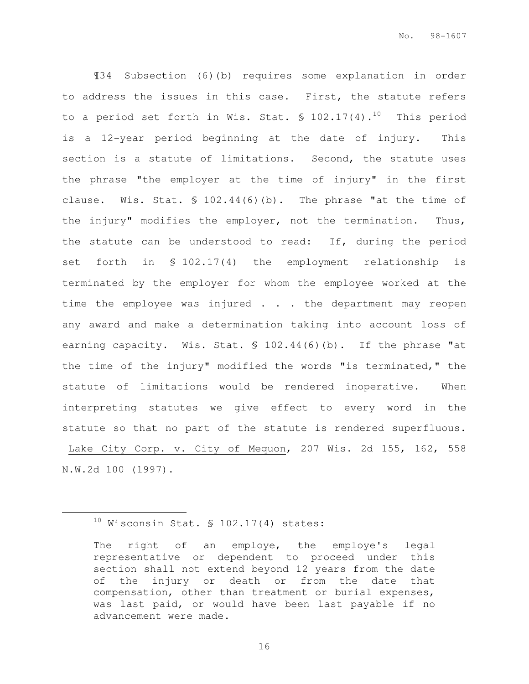¶34 Subsection (6)(b) requires some explanation in order to address the issues in this case. First, the statute refers to a period set forth in Wis. Stat.  $\$ 102.17(4).$ <sup>10</sup> This period is a 12-year period beginning at the date of injury. This section is a statute of limitations. Second, the statute uses the phrase "the employer at the time of injury" in the first clause. Wis. Stat. § 102.44(6)(b). The phrase "at the time of the injury" modifies the employer, not the termination. Thus, the statute can be understood to read: If, during the period set forth in § 102.17(4) the employment relationship is terminated by the employer for whom the employee worked at the time the employee was injured . . . the department may reopen any award and make a determination taking into account loss of earning capacity. Wis. Stat. § 102.44(6)(b). If the phrase "at the time of the injury" modified the words "is terminated," the statute of limitations would be rendered inoperative. When interpreting statutes we give effect to every word in the statute so that no part of the statute is rendered superfluous. Lake City Corp. v. City of Mequon, 207 Wis. 2d 155, 162, 558 N.W.2d 100 (1997).

e<br>S

 $10$  Wisconsin Stat. § 102.17(4) states:

The right of an employe, the employe's legal representative or dependent to proceed under this section shall not extend beyond 12 years from the date of the injury or death or from the date that compensation, other than treatment or burial expenses, was last paid, or would have been last payable if no advancement were made.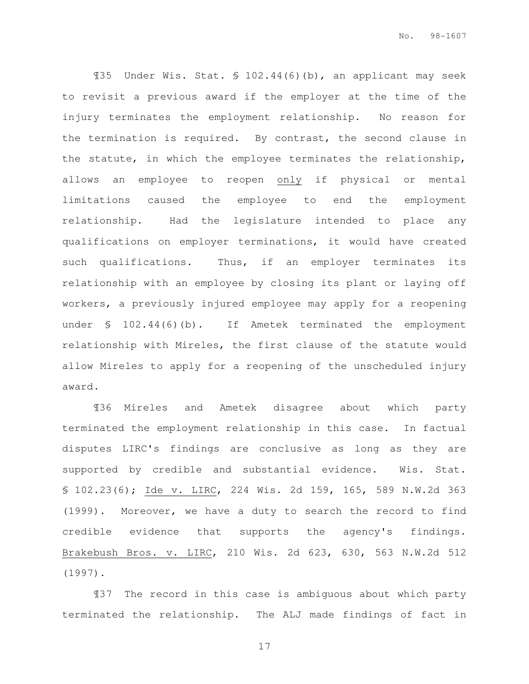¶35 Under Wis. Stat. § 102.44(6)(b), an applicant may seek to revisit a previous award if the employer at the time of the injury terminates the employment relationship. No reason for the termination is required. By contrast, the second clause in the statute, in which the employee terminates the relationship, allows an employee to reopen only if physical or mental limitations caused the employee to end the employment relationship. Had the legislature intended to place any qualifications on employer terminations, it would have created such qualifications. Thus, if an employer terminates its relationship with an employee by closing its plant or laying off workers, a previously injured employee may apply for a reopening under § 102.44(6)(b). If Ametek terminated the employment relationship with Mireles, the first clause of the statute would allow Mireles to apply for a reopening of the unscheduled injury award.

¶36 Mireles and Ametek disagree about which party terminated the employment relationship in this case. In factual disputes LIRC's findings are conclusive as long as they are supported by credible and substantial evidence. Wis. Stat. § 102.23(6); Ide v. LIRC, 224 Wis. 2d 159, 165, 589 N.W.2d 363 (1999). Moreover, we have a duty to search the record to find credible evidence that supports the agency's findings. Brakebush Bros. v. LIRC, 210 Wis. 2d 623, 630, 563 N.W.2d 512 (1997).

¶37 The record in this case is ambiguous about which party terminated the relationship. The ALJ made findings of fact in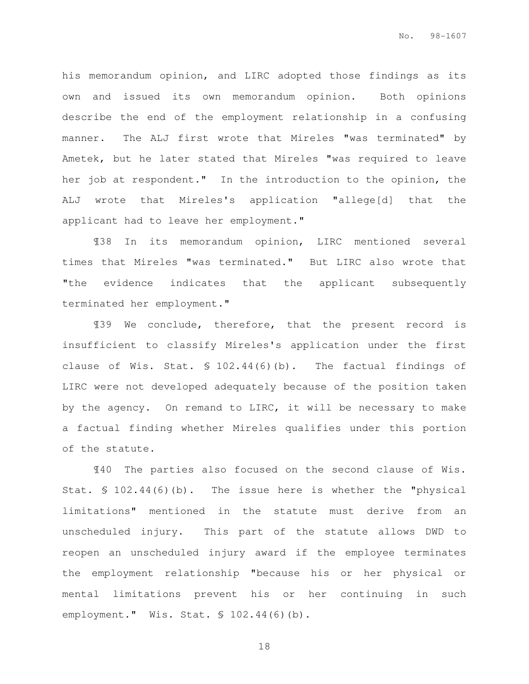his memorandum opinion, and LIRC adopted those findings as its own and issued its own memorandum opinion. Both opinions describe the end of the employment relationship in a confusing manner. The ALJ first wrote that Mireles "was terminated" by Ametek, but he later stated that Mireles "was required to leave her job at respondent." In the introduction to the opinion, the ALJ wrote that Mireles's application "allege[d] that the applicant had to leave her employment."

¶38 In its memorandum opinion, LIRC mentioned several times that Mireles "was terminated." But LIRC also wrote that "the evidence indicates that the applicant subsequently terminated her employment."

¶39 We conclude, therefore, that the present record is insufficient to classify Mireles's application under the first clause of Wis. Stat. § 102.44(6)(b). The factual findings of LIRC were not developed adequately because of the position taken by the agency. On remand to LIRC, it will be necessary to make a factual finding whether Mireles qualifies under this portion of the statute.

¶40 The parties also focused on the second clause of Wis. Stat. § 102.44(6)(b). The issue here is whether the "physical limitations" mentioned in the statute must derive from an unscheduled injury. This part of the statute allows DWD to reopen an unscheduled injury award if the employee terminates the employment relationship "because his or her physical or mental limitations prevent his or her continuing in such employment." Wis. Stat. § 102.44(6)(b).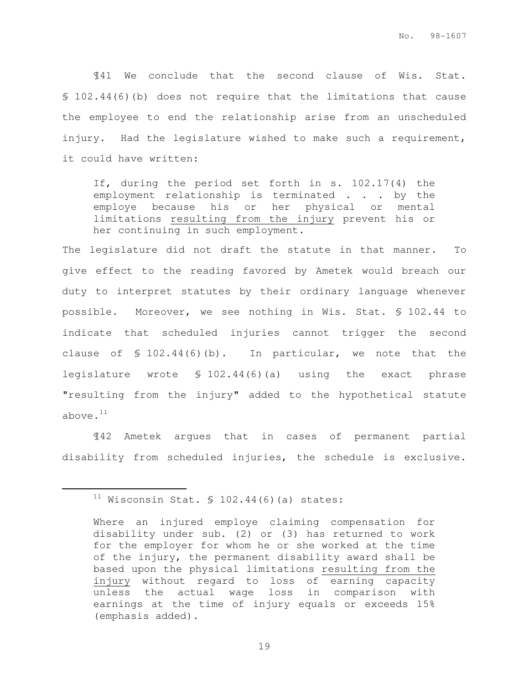¶41 We conclude that the second clause of Wis. Stat. § 102.44(6)(b) does not require that the limitations that cause the employee to end the relationship arise from an unscheduled injury. Had the legislature wished to make such a requirement, it could have written:

If, during the period set forth in s. 102.17(4) the employment relationship is terminated . . . by the employe because his or her physical or mental limitations resulting from the injury prevent his or her continuing in such employment.

The legislature did not draft the statute in that manner. To give effect to the reading favored by Ametek would breach our duty to interpret statutes by their ordinary language whenever possible. Moreover, we see nothing in Wis. Stat. § 102.44 to indicate that scheduled injuries cannot trigger the second clause of § 102.44(6)(b). In particular, we note that the legislature wrote § 102.44(6)(a) using the exact phrase "resulting from the injury" added to the hypothetical statute above. $11$ 

 ¶42 Ametek argues that in cases of permanent partial disability from scheduled injuries, the schedule is exclusive.

 $11$  Wisconsin Stat. § 102.44(6)(a) states:

Where an injured employe claiming compensation for disability under sub. (2) or (3) has returned to work for the employer for whom he or she worked at the time of the injury, the permanent disability award shall be based upon the physical limitations resulting from the injury without regard to loss of earning capacity unless the actual wage loss in comparison with earnings at the time of injury equals or exceeds 15% (emphasis added).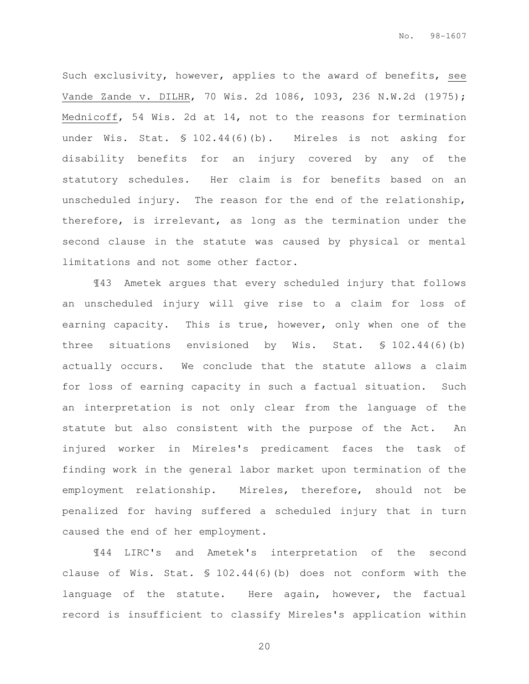Such exclusivity, however, applies to the award of benefits, see Vande Zande v. DILHR, 70 Wis. 2d 1086, 1093, 236 N.W.2d (1975); Mednicoff, 54 Wis. 2d at 14, not to the reasons for termination under Wis. Stat. § 102.44(6)(b). Mireles is not asking for disability benefits for an injury covered by any of the statutory schedules. Her claim is for benefits based on an unscheduled injury. The reason for the end of the relationship, therefore, is irrelevant, as long as the termination under the second clause in the statute was caused by physical or mental limitations and not some other factor.

 ¶43 Ametek argues that every scheduled injury that follows an unscheduled injury will give rise to a claim for loss of earning capacity. This is true, however, only when one of the three situations envisioned by Wis. Stat. § 102.44(6)(b) actually occurs. We conclude that the statute allows a claim for loss of earning capacity in such a factual situation. Such an interpretation is not only clear from the language of the statute but also consistent with the purpose of the Act. An injured worker in Mireles's predicament faces the task of finding work in the general labor market upon termination of the employment relationship. Mireles, therefore, should not be penalized for having suffered a scheduled injury that in turn caused the end of her employment.

¶44 LIRC's and Ametek's interpretation of the second clause of Wis. Stat. § 102.44(6)(b) does not conform with the language of the statute. Here again, however, the factual record is insufficient to classify Mireles's application within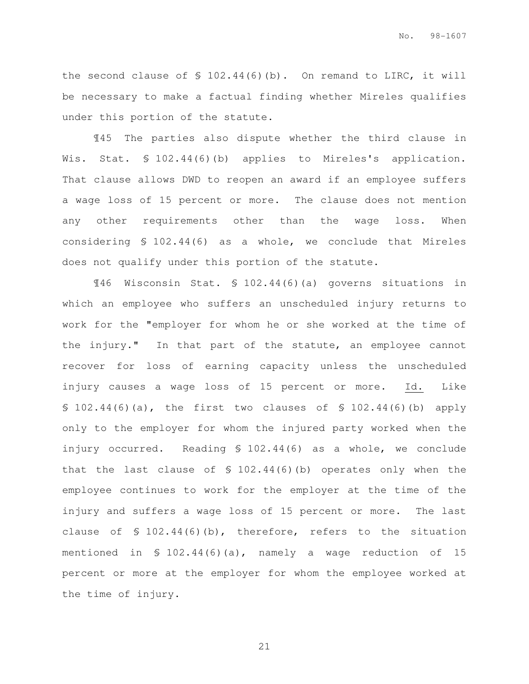the second clause of § 102.44(6)(b). On remand to LIRC, it will be necessary to make a factual finding whether Mireles qualifies under this portion of the statute.

 ¶45 The parties also dispute whether the third clause in Wis. Stat. § 102.44(6)(b) applies to Mireles's application. That clause allows DWD to reopen an award if an employee suffers a wage loss of 15 percent or more. The clause does not mention any other requirements other than the wage loss. When considering § 102.44(6) as a whole, we conclude that Mireles does not qualify under this portion of the statute.

 ¶46 Wisconsin Stat. § 102.44(6)(a) governs situations in which an employee who suffers an unscheduled injury returns to work for the "employer for whom he or she worked at the time of the injury." In that part of the statute, an employee cannot recover for loss of earning capacity unless the unscheduled injury causes a wage loss of 15 percent or more. Id. Like § 102.44(6)(a), the first two clauses of § 102.44(6)(b) apply only to the employer for whom the injured party worked when the injury occurred. Reading § 102.44(6) as a whole, we conclude that the last clause of § 102.44(6)(b) operates only when the employee continues to work for the employer at the time of the injury and suffers a wage loss of 15 percent or more. The last clause of § 102.44(6)(b), therefore, refers to the situation mentioned in § 102.44(6)(a), namely a wage reduction of 15 percent or more at the employer for whom the employee worked at the time of injury.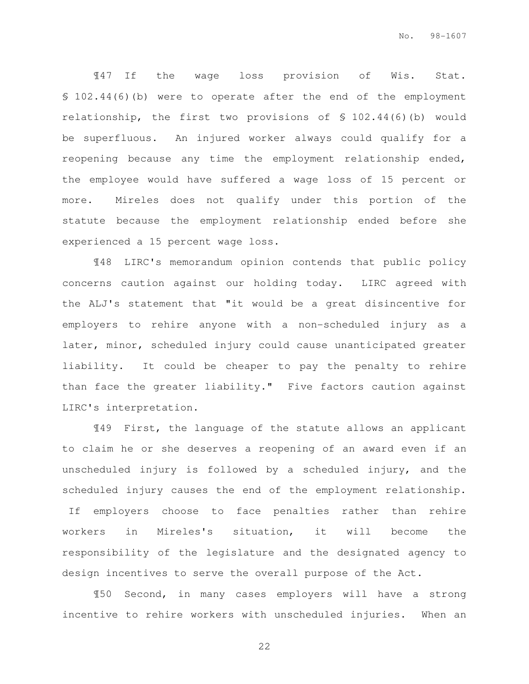¶47 If the wage loss provision of Wis. Stat. § 102.44(6)(b) were to operate after the end of the employment relationship, the first two provisions of § 102.44(6)(b) would be superfluous. An injured worker always could qualify for a reopening because any time the employment relationship ended, the employee would have suffered a wage loss of 15 percent or more. Mireles does not qualify under this portion of the statute because the employment relationship ended before she experienced a 15 percent wage loss.

¶48 LIRC's memorandum opinion contends that public policy concerns caution against our holding today. LIRC agreed with the ALJ's statement that "it would be a great disincentive for employers to rehire anyone with a non-scheduled injury as a later, minor, scheduled injury could cause unanticipated greater liability. It could be cheaper to pay the penalty to rehire than face the greater liability." Five factors caution against LIRC's interpretation.

¶49 First, the language of the statute allows an applicant to claim he or she deserves a reopening of an award even if an unscheduled injury is followed by a scheduled injury, and the scheduled injury causes the end of the employment relationship. If employers choose to face penalties rather than rehire workers in Mireles's situation, it will become the responsibility of the legislature and the designated agency to design incentives to serve the overall purpose of the Act.

¶50 Second, in many cases employers will have a strong incentive to rehire workers with unscheduled injuries. When an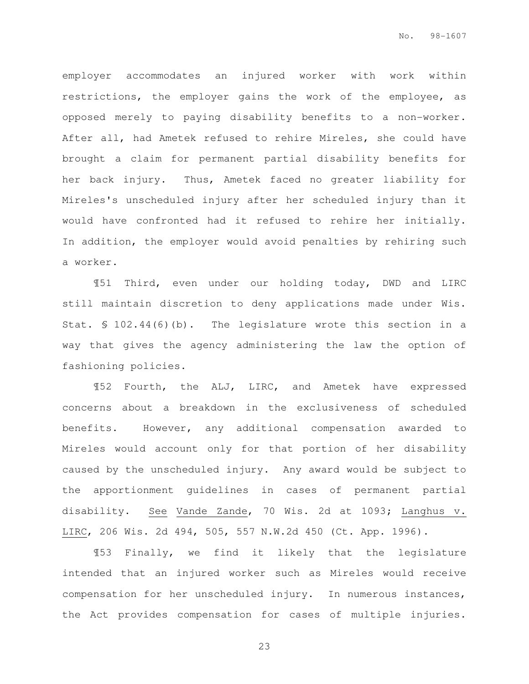employer accommodates an injured worker with work within restrictions, the employer gains the work of the employee, as opposed merely to paying disability benefits to a non-worker. After all, had Ametek refused to rehire Mireles, she could have brought a claim for permanent partial disability benefits for her back injury. Thus, Ametek faced no greater liability for Mireles's unscheduled injury after her scheduled injury than it would have confronted had it refused to rehire her initially. In addition, the employer would avoid penalties by rehiring such a worker.

¶51 Third, even under our holding today, DWD and LIRC still maintain discretion to deny applications made under Wis. Stat. § 102.44(6)(b). The legislature wrote this section in a way that gives the agency administering the law the option of fashioning policies.

¶52 Fourth, the ALJ, LIRC, and Ametek have expressed concerns about a breakdown in the exclusiveness of scheduled benefits. However, any additional compensation awarded to Mireles would account only for that portion of her disability caused by the unscheduled injury. Any award would be subject to the apportionment guidelines in cases of permanent partial disability. See Vande Zande, 70 Wis. 2d at 1093; Langhus v. LIRC, 206 Wis. 2d 494, 505, 557 N.W.2d 450 (Ct. App. 1996).

¶53 Finally, we find it likely that the legislature intended that an injured worker such as Mireles would receive compensation for her unscheduled injury. In numerous instances, the Act provides compensation for cases of multiple injuries.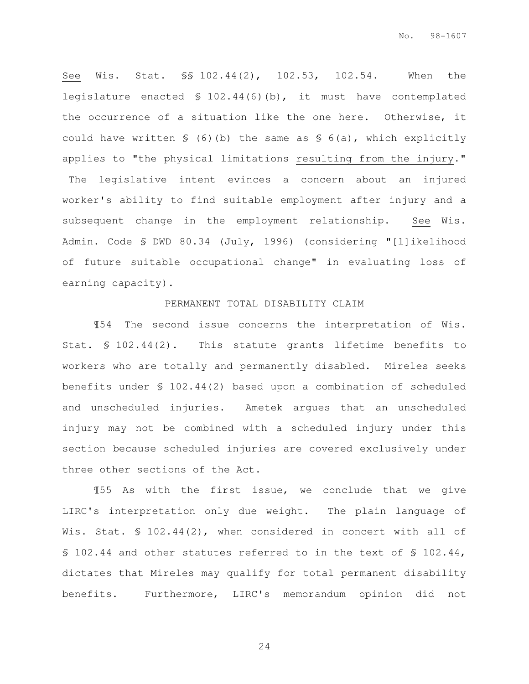See Wis. Stat. §§ 102.44(2), 102.53, 102.54. When the legislature enacted § 102.44(6)(b), it must have contemplated the occurrence of a situation like the one here. Otherwise, it could have written § (6)(b) the same as § 6(a), which explicitly applies to "the physical limitations resulting from the injury." The legislative intent evinces a concern about an injured worker's ability to find suitable employment after injury and a subsequent change in the employment relationship. See Wis. Admin. Code § DWD 80.34 (July, 1996) (considering "[l]ikelihood of future suitable occupational change" in evaluating loss of earning capacity).

#### PERMANENT TOTAL DISABILITY CLAIM

 ¶54 The second issue concerns the interpretation of Wis. Stat. § 102.44(2). This statute grants lifetime benefits to workers who are totally and permanently disabled. Mireles seeks benefits under § 102.44(2) based upon a combination of scheduled and unscheduled injuries. Ametek argues that an unscheduled injury may not be combined with a scheduled injury under this section because scheduled injuries are covered exclusively under three other sections of the Act.

¶55 As with the first issue, we conclude that we give LIRC's interpretation only due weight. The plain language of Wis. Stat. § 102.44(2), when considered in concert with all of § 102.44 and other statutes referred to in the text of § 102.44, dictates that Mireles may qualify for total permanent disability benefits. Furthermore, LIRC's memorandum opinion did not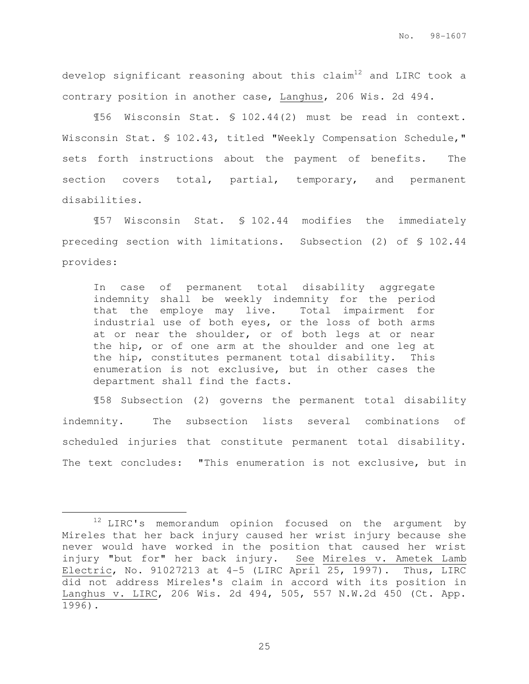develop significant reasoning about this  $\text{claim}^{12}$  and LIRC took a contrary position in another case, Langhus, 206 Wis. 2d 494.

 ¶56 Wisconsin Stat. § 102.44(2) must be read in context. Wisconsin Stat. § 102.43, titled "Weekly Compensation Schedule," sets forth instructions about the payment of benefits. The section covers total, partial, temporary, and permanent disabilities.

¶57 Wisconsin Stat. § 102.44 modifies the immediately preceding section with limitations. Subsection (2) of § 102.44 provides:

In case of permanent total disability aggregate indemnity shall be weekly indemnity for the period that the employe may live. Total impairment for industrial use of both eyes, or the loss of both arms at or near the shoulder, or of both legs at or near the hip, or of one arm at the shoulder and one leg at the hip, constitutes permanent total disability. This enumeration is not exclusive, but in other cases the department shall find the facts.

¶58 Subsection (2) governs the permanent total disability indemnity. The subsection lists several combinations of scheduled injuries that constitute permanent total disability. The text concludes: "This enumeration is not exclusive, but in

e<br>S

<sup>&</sup>lt;sup>12</sup> LIRC's memorandum opinion focused on the argument by Mireles that her back injury caused her wrist injury because she never would have worked in the position that caused her wrist injury "but for" her back injury. See Mireles v. Ametek Lamb Electric, No. 91027213 at 4-5 (LIRC April 25, 1997). Thus, LIRC did not address Mireles's claim in accord with its position in Langhus v. LIRC, 206 Wis. 2d 494, 505, 557 N.W.2d 450 (Ct. App. 1996).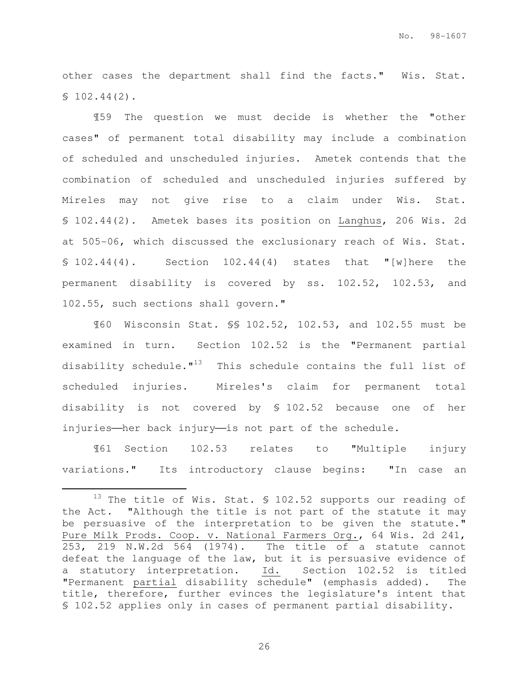other cases the department shall find the facts." Wis. Stat. § 102.44(2).

¶59 The question we must decide is whether the "other cases" of permanent total disability may include a combination of scheduled and unscheduled injuries. Ametek contends that the combination of scheduled and unscheduled injuries suffered by Mireles may not give rise to a claim under Wis. Stat. § 102.44(2). Ametek bases its position on Langhus, 206 Wis. 2d at 505-06, which discussed the exclusionary reach of Wis. Stat.  $$102.44(4).$  Section  $102.44(4)$  states that "[w]here the permanent disability is covered by ss. 102.52, 102.53, and 102.55, such sections shall govern."

¶60 Wisconsin Stat. §§ 102.52, 102.53, and 102.55 must be examined in turn. Section 102.52 is the "Permanent partial disability schedule. $1^{13}$  This schedule contains the full list of scheduled injuries. Mireles's claim for permanent total disability is not covered by § 102.52 because one of her injuries—her back injury—is not part of the schedule.

¶61 Section 102.53 relates to "Multiple injury variations." Its introductory clause begins: "In case an

e<br>S

 $13$  The title of Wis. Stat. § 102.52 supports our reading of the Act. "Although the title is not part of the statute it may be persuasive of the interpretation to be given the statute." Pure Milk Prods. Coop. v. National Farmers Org., 64 Wis. 2d 241, 253, 219 N.W.2d 564 (1974). The title of a statute cannot defeat the language of the law, but it is persuasive evidence of a statutory interpretation. Id. Section 102.52 is titled "Permanent partial disability schedule" (emphasis added). The title, therefore, further evinces the legislature's intent that § 102.52 applies only in cases of permanent partial disability.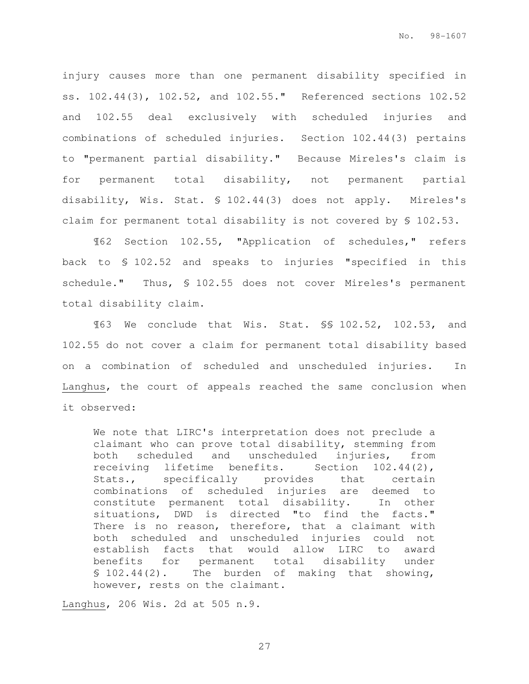injury causes more than one permanent disability specified in ss. 102.44(3), 102.52, and 102.55." Referenced sections 102.52 and 102.55 deal exclusively with scheduled injuries and combinations of scheduled injuries. Section 102.44(3) pertains to "permanent partial disability." Because Mireles's claim is for permanent total disability, not permanent partial disability, Wis. Stat. § 102.44(3) does not apply. Mireles's claim for permanent total disability is not covered by § 102.53.

¶62 Section 102.55, "Application of schedules," refers back to § 102.52 and speaks to injuries "specified in this schedule." Thus, § 102.55 does not cover Mireles's permanent total disability claim.

¶63 We conclude that Wis. Stat. §§ 102.52, 102.53, and 102.55 do not cover a claim for permanent total disability based on a combination of scheduled and unscheduled injuries. In Langhus, the court of appeals reached the same conclusion when it observed:

We note that LIRC's interpretation does not preclude a claimant who can prove total disability, stemming from both scheduled and unscheduled injuries, from receiving lifetime benefits. Section 102.44(2), Stats., specifically provides that certain combinations of scheduled injuries are deemed to constitute permanent total disability. In other situations, DWD is directed "to find the facts." There is no reason, therefore, that a claimant with both scheduled and unscheduled injuries could not establish facts that would allow LIRC to award benefits for permanent total disability under § 102.44(2). The burden of making that showing, however, rests on the claimant.

Langhus, 206 Wis. 2d at 505 n.9.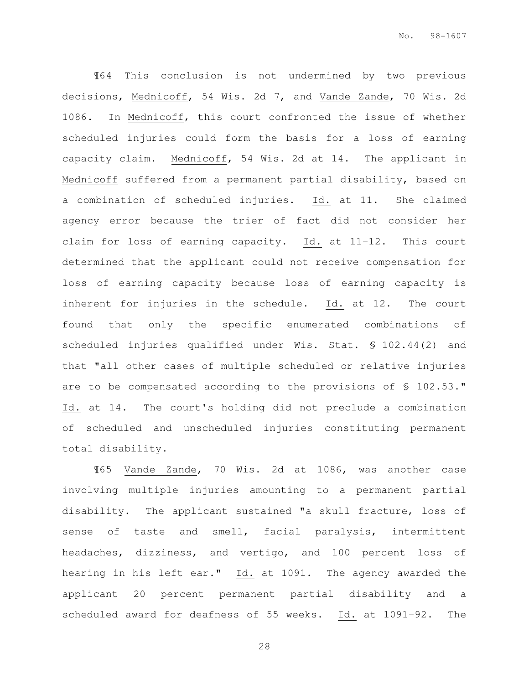¶64 This conclusion is not undermined by two previous decisions, Mednicoff, 54 Wis. 2d 7, and Vande Zande, 70 Wis. 2d 1086. In Mednicoff, this court confronted the issue of whether scheduled injuries could form the basis for a loss of earning capacity claim. Mednicoff, 54 Wis. 2d at 14. The applicant in Mednicoff suffered from a permanent partial disability, based on a combination of scheduled injuries. Id. at 11. She claimed agency error because the trier of fact did not consider her claim for loss of earning capacity. Id. at 11-12. This court determined that the applicant could not receive compensation for loss of earning capacity because loss of earning capacity is inherent for injuries in the schedule. Id. at 12. The court found that only the specific enumerated combinations of scheduled injuries qualified under Wis. Stat. § 102.44(2) and that "all other cases of multiple scheduled or relative injuries are to be compensated according to the provisions of § 102.53." Id. at 14. The court's holding did not preclude a combination of scheduled and unscheduled injuries constituting permanent total disability.

¶65 Vande Zande, 70 Wis. 2d at 1086, was another case involving multiple injuries amounting to a permanent partial disability. The applicant sustained "a skull fracture, loss of sense of taste and smell, facial paralysis, intermittent headaches, dizziness, and vertigo, and 100 percent loss of hearing in his left ear." Id. at 1091. The agency awarded the applicant 20 percent permanent partial disability and a scheduled award for deafness of 55 weeks. Id. at 1091-92. The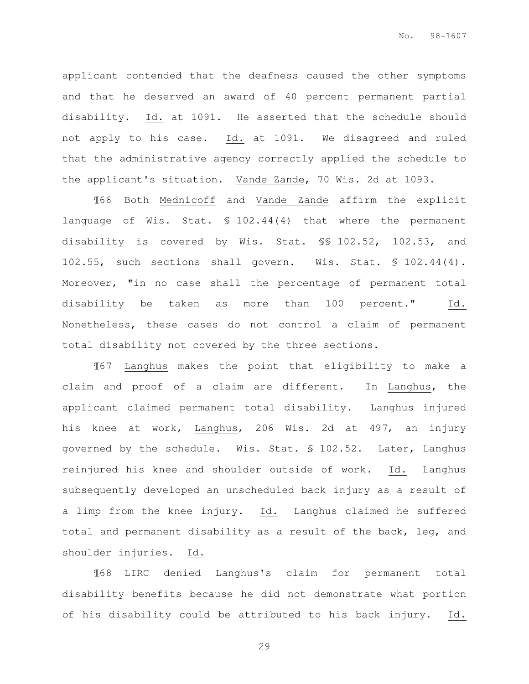applicant contended that the deafness caused the other symptoms and that he deserved an award of 40 percent permanent partial disability. Id. at 1091. He asserted that the schedule should not apply to his case. Id. at 1091. We disagreed and ruled that the administrative agency correctly applied the schedule to the applicant's situation. Vande Zande, 70 Wis. 2d at 1093.

¶66 Both Mednicoff and Vande Zande affirm the explicit language of Wis. Stat. § 102.44(4) that where the permanent disability is covered by Wis. Stat. §§ 102.52, 102.53, and 102.55, such sections shall govern. Wis. Stat. § 102.44(4). Moreover, "in no case shall the percentage of permanent total disability be taken as more than 100 percent." Id. Nonetheless, these cases do not control a claim of permanent total disability not covered by the three sections.

¶67 Langhus makes the point that eligibility to make a claim and proof of a claim are different. In Langhus, the applicant claimed permanent total disability. Langhus injured his knee at work, Langhus, 206 Wis. 2d at 497, an injury governed by the schedule. Wis. Stat. § 102.52. Later, Langhus reinjured his knee and shoulder outside of work. Id. Langhus subsequently developed an unscheduled back injury as a result of a limp from the knee injury. Id. Langhus claimed he suffered total and permanent disability as a result of the back, leg, and shoulder injuries. Id.

¶68 LIRC denied Langhus's claim for permanent total disability benefits because he did not demonstrate what portion of his disability could be attributed to his back injury. Id.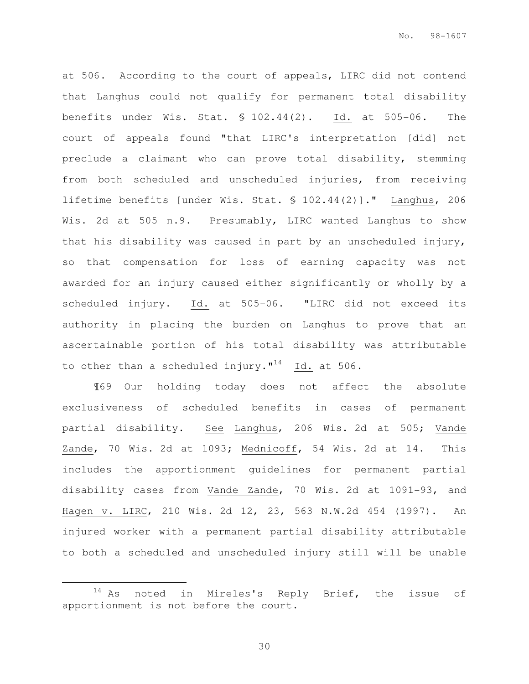at 506. According to the court of appeals, LIRC did not contend that Langhus could not qualify for permanent total disability benefits under Wis. Stat. § 102.44(2). Id. at 505-06. The court of appeals found "that LIRC's interpretation [did] not preclude a claimant who can prove total disability, stemming from both scheduled and unscheduled injuries, from receiving lifetime benefits [under Wis. Stat. § 102.44(2)]." Langhus, 206 Wis. 2d at 505 n.9. Presumably, LIRC wanted Langhus to show that his disability was caused in part by an unscheduled injury, so that compensation for loss of earning capacity was not awarded for an injury caused either significantly or wholly by a scheduled injury. Id. at 505-06. "LIRC did not exceed its authority in placing the burden on Langhus to prove that an ascertainable portion of his total disability was attributable to other than a scheduled injury." $^{14}$  Id. at 506.

¶69 Our holding today does not affect the absolute exclusiveness of scheduled benefits in cases of permanent partial disability. See Langhus, 206 Wis. 2d at 505; Vande Zande, 70 Wis. 2d at 1093; Mednicoff, 54 Wis. 2d at 14. This includes the apportionment guidelines for permanent partial disability cases from Vande Zande, 70 Wis. 2d at 1091-93, and Hagen v. LIRC, 210 Wis. 2d 12, 23, 563 N.W.2d 454 (1997). An injured worker with a permanent partial disability attributable to both a scheduled and unscheduled injury still will be unable

e<br>S

<sup>&</sup>lt;sup>14</sup> As noted in Mireles's Reply Brief, the issue of apportionment is not before the court.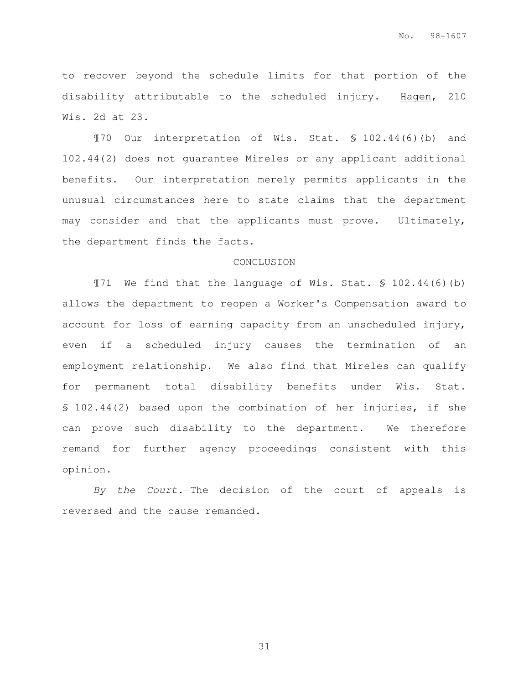to recover beyond the schedule limits for that portion of the disability attributable to the scheduled injury. Hagen, 210 Wis. 2d at 23.

¶70 Our interpretation of Wis. Stat. § 102.44(6)(b) and 102.44(2) does not guarantee Mireles or any applicant additional benefits. Our interpretation merely permits applicants in the unusual circumstances here to state claims that the department may consider and that the applicants must prove. Ultimately, the department finds the facts.

#### CONCLUSION

¶71 We find that the language of Wis. Stat. § 102.44(6)(b) allows the department to reopen a Worker's Compensation award to account for loss of earning capacity from an unscheduled injury, even if a scheduled injury causes the termination of an employment relationship. We also find that Mireles can qualify for permanent total disability benefits under Wis. Stat. § 102.44(2) based upon the combination of her injuries, if she can prove such disability to the department. We therefore remand for further agency proceedings consistent with this opinion.

By the Court.—The decision of the court of appeals is reversed and the cause remanded.